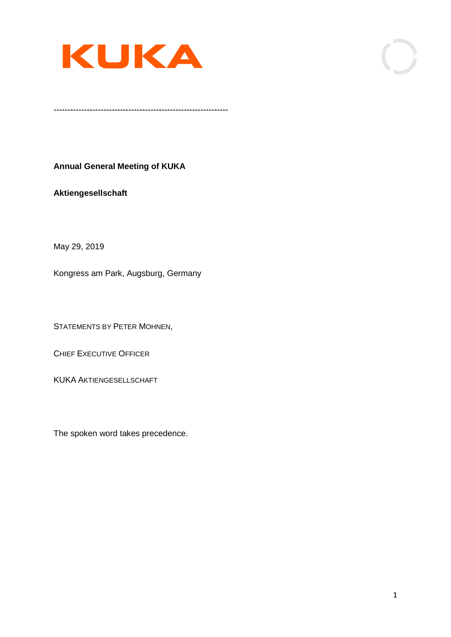

 $\ldots$ 

**Annual General Meeting of KUKA**

**Aktiengesellschaft**

May 29, 2019

Kongress am Park, Augsburg, Germany

STATEMENTS BY PETER MOHNEN,

CHIEF EXECUTIVE OFFICER

KUKA AKTIENGESELLSCHAFT

The spoken word takes precedence.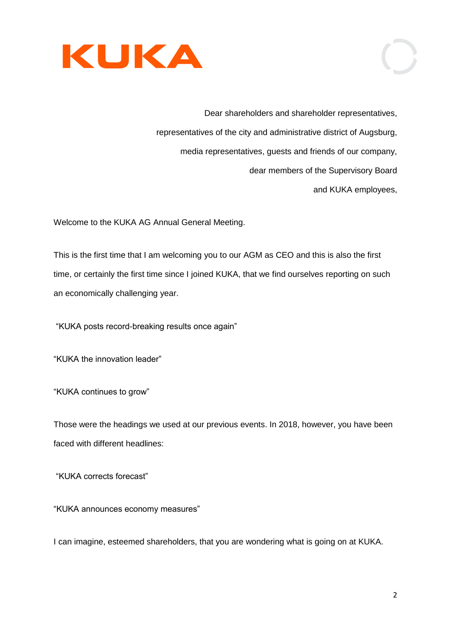

Dear shareholders and shareholder representatives, representatives of the city and administrative district of Augsburg, media representatives, guests and friends of our company, dear members of the Supervisory Board and KUKA employees,

Welcome to the KUKA AG Annual General Meeting.

This is the first time that I am welcoming you to our AGM as CEO and this is also the first time, or certainly the first time since I joined KUKA, that we find ourselves reporting on such an economically challenging year.

"KUKA posts record-breaking results once again"

"KUKA the innovation leader"

"KUKA continues to grow"

Those were the headings we used at our previous events. In 2018, however, you have been faced with different headlines:

"KUKA corrects forecast"

"KUKA announces economy measures"

I can imagine, esteemed shareholders, that you are wondering what is going on at KUKA.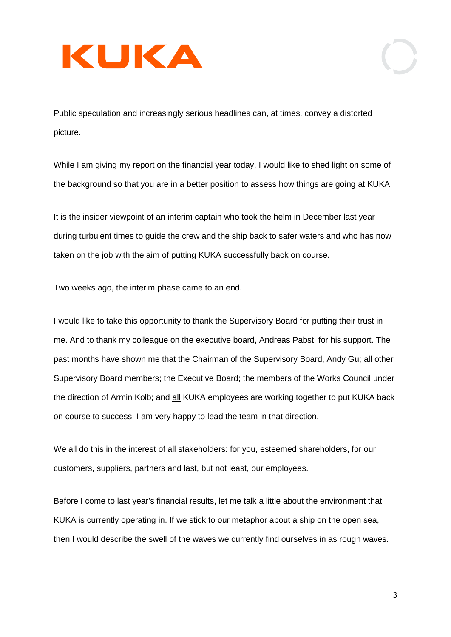Public speculation and increasingly serious headlines can, at times, convey a distorted picture.

While I am giving my report on the financial year today, I would like to shed light on some of the background so that you are in a better position to assess how things are going at KUKA.

It is the insider viewpoint of an interim captain who took the helm in December last year during turbulent times to guide the crew and the ship back to safer waters and who has now taken on the job with the aim of putting KUKA successfully back on course.

Two weeks ago, the interim phase came to an end.

I would like to take this opportunity to thank the Supervisory Board for putting their trust in me. And to thank my colleague on the executive board, Andreas Pabst, for his support. The past months have shown me that the Chairman of the Supervisory Board, Andy Gu; all other Supervisory Board members; the Executive Board; the members of the Works Council under the direction of Armin Kolb; and all KUKA employees are working together to put KUKA back on course to success. I am very happy to lead the team in that direction.

We all do this in the interest of all stakeholders: for you, esteemed shareholders, for our customers, suppliers, partners and last, but not least, our employees.

Before I come to last year's financial results, let me talk a little about the environment that KUKA is currently operating in. If we stick to our metaphor about a ship on the open sea, then I would describe the swell of the waves we currently find ourselves in as rough waves.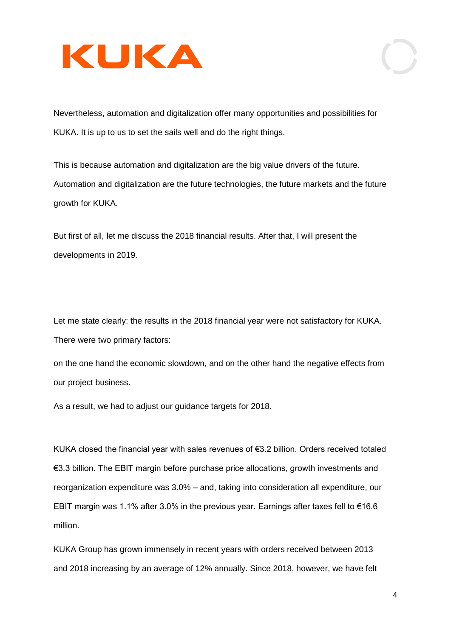

Nevertheless, automation and digitalization offer many opportunities and possibilities for KUKA. It is up to us to set the sails well and do the right things.

This is because automation and digitalization are the big value drivers of the future. Automation and digitalization are the future technologies, the future markets and the future growth for KUKA.

But first of all, let me discuss the 2018 financial results. After that, I will present the developments in 2019.

Let me state clearly: the results in the 2018 financial year were not satisfactory for KUKA. There were two primary factors:

on the one hand the economic slowdown, and on the other hand the negative effects from our project business.

As a result, we had to adjust our guidance targets for 2018.

KUKA closed the financial year with sales revenues of €3.2 billion. Orders received totaled €3.3 billion. The EBIT margin before purchase price allocations, growth investments and reorganization expenditure was 3.0% – and, taking into consideration all expenditure, our EBIT margin was 1.1% after 3.0% in the previous year. Earnings after taxes fell to €16.6 million.

KUKA Group has grown immensely in recent years with orders received between 2013 and 2018 increasing by an average of 12% annually. Since 2018, however, we have felt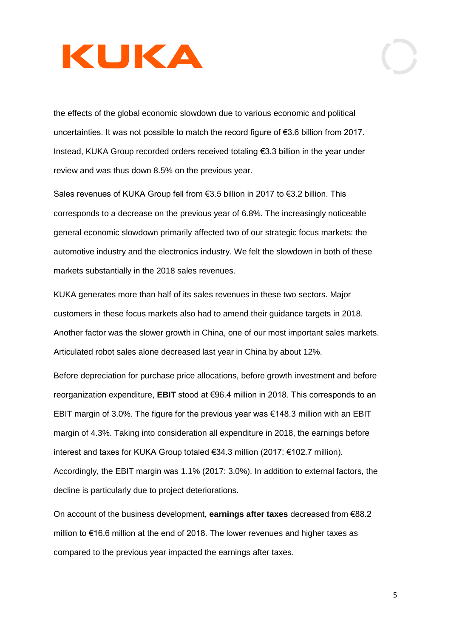the effects of the global economic slowdown due to various economic and political uncertainties. It was not possible to match the record figure of €3.6 billion from 2017. Instead, KUKA Group recorded orders received totaling €3.3 billion in the year under review and was thus down 8.5% on the previous year.

Sales revenues of KUKA Group fell from €3.5 billion in 2017 to €3.2 billion. This corresponds to a decrease on the previous year of 6.8%. The increasingly noticeable general economic slowdown primarily affected two of our strategic focus markets: the automotive industry and the electronics industry. We felt the slowdown in both of these markets substantially in the 2018 sales revenues.

KUKA generates more than half of its sales revenues in these two sectors. Major customers in these focus markets also had to amend their guidance targets in 2018. Another factor was the slower growth in China, one of our most important sales markets. Articulated robot sales alone decreased last year in China by about 12%.

Before depreciation for purchase price allocations, before growth investment and before reorganization expenditure, **EBIT** stood at €96.4 million in 2018. This corresponds to an EBIT margin of 3.0%. The figure for the previous year was €148.3 million with an EBIT margin of 4.3%. Taking into consideration all expenditure in 2018, the earnings before interest and taxes for KUKA Group totaled €34.3 million (2017: €102.7 million). Accordingly, the EBIT margin was 1.1% (2017: 3.0%). In addition to external factors, the decline is particularly due to project deteriorations.

On account of the business development, **earnings after taxes** decreased from €88.2 million to €16.6 million at the end of 2018. The lower revenues and higher taxes as compared to the previous year impacted the earnings after taxes.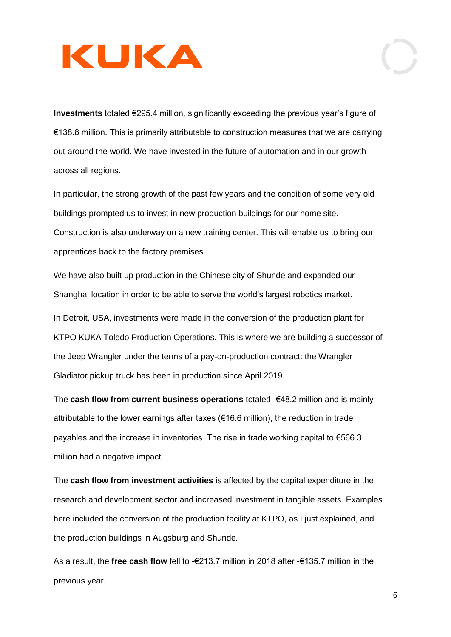**Investments** totaled €295.4 million, significantly exceeding the previous year's figure of €138.8 million. This is primarily attributable to construction measures that we are carrying out around the world. We have invested in the future of automation and in our growth across all regions.

In particular, the strong growth of the past few years and the condition of some very old buildings prompted us to invest in new production buildings for our home site. Construction is also underway on a new training center. This will enable us to bring our apprentices back to the factory premises.

We have also built up production in the Chinese city of Shunde and expanded our Shanghai location in order to be able to serve the world's largest robotics market.

In Detroit, USA, investments were made in the conversion of the production plant for KTPO KUKA Toledo Production Operations. This is where we are building a successor of the Jeep Wrangler under the terms of a pay-on-production contract: the Wrangler Gladiator pickup truck has been in production since April 2019.

The **cash flow from current business operations** totaled -€48.2 million and is mainly attributable to the lower earnings after taxes ( $\epsilon$ 16.6 million), the reduction in trade payables and the increase in inventories. The rise in trade working capital to €566.3 million had a negative impact.

The **cash flow from investment activities** is affected by the capital expenditure in the research and development sector and increased investment in tangible assets. Examples here included the conversion of the production facility at KTPO, as I just explained, and the production buildings in Augsburg and Shunde.

As a result, the **free cash flow** fell to -€213.7 million in 2018 after -€135.7 million in the previous year.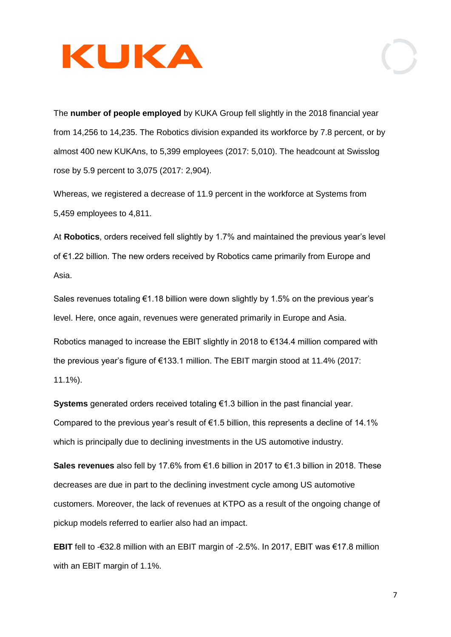

The **number of people employed** by KUKA Group fell slightly in the 2018 financial year from 14,256 to 14,235. The Robotics division expanded its workforce by 7.8 percent, or by almost 400 new KUKAns, to 5,399 employees (2017: 5,010). The headcount at Swisslog rose by 5.9 percent to 3,075 (2017: 2,904).

Whereas, we registered a decrease of 11.9 percent in the workforce at Systems from 5,459 employees to 4,811.

At **Robotics**, orders received fell slightly by 1.7% and maintained the previous year's level of €1.22 billion. The new orders received by Robotics came primarily from Europe and Asia.

Sales revenues totaling  $\epsilon$ 1.18 billion were down slightly by 1.5% on the previous year's level. Here, once again, revenues were generated primarily in Europe and Asia.

Robotics managed to increase the EBIT slightly in 2018 to €134.4 million compared with the previous year's figure of €133.1 million. The EBIT margin stood at 11.4% (2017: 11.1%).

**Systems** generated orders received totaling €1.3 billion in the past financial year. Compared to the previous year's result of  $\epsilon$ 1.5 billion, this represents a decline of 14.1% which is principally due to declining investments in the US automotive industry.

**Sales revenues** also fell by 17.6% from €1.6 billion in 2017 to €1.3 billion in 2018. These decreases are due in part to the declining investment cycle among US automotive customers. Moreover, the lack of revenues at KTPO as a result of the ongoing change of pickup models referred to earlier also had an impact.

**EBIT** fell to -€32.8 million with an EBIT margin of -2.5%. In 2017, EBIT was €17.8 million with an EBIT margin of 1.1%.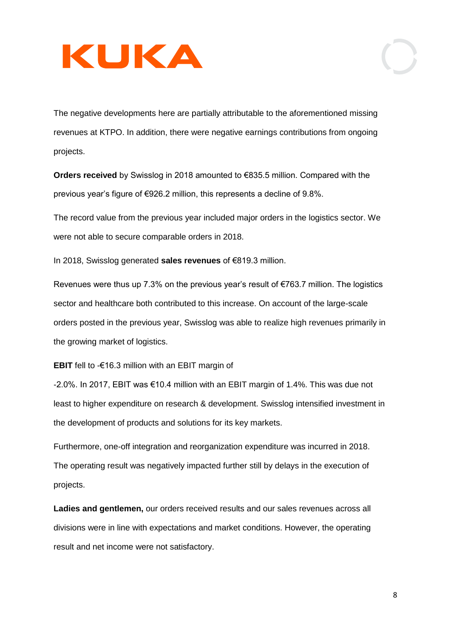The negative developments here are partially attributable to the aforementioned missing revenues at KTPO. In addition, there were negative earnings contributions from ongoing projects.

**Orders received** by Swisslog in 2018 amounted to €835.5 million. Compared with the previous year's figure of €926.2 million, this represents a decline of 9.8%.

The record value from the previous year included major orders in the logistics sector. We were not able to secure comparable orders in 2018.

In 2018, Swisslog generated **sales revenues** of €819.3 million.

Revenues were thus up 7.3% on the previous year's result of €763.7 million. The logistics sector and healthcare both contributed to this increase. On account of the large-scale orders posted in the previous year, Swisslog was able to realize high revenues primarily in the growing market of logistics.

**EBIT** fell to -€16.3 million with an EBIT margin of

-2.0%. In 2017, EBIT was €10.4 million with an EBIT margin of 1.4%. This was due not least to higher expenditure on research & development. Swisslog intensified investment in the development of products and solutions for its key markets.

Furthermore, one-off integration and reorganization expenditure was incurred in 2018. The operating result was negatively impacted further still by delays in the execution of projects.

**Ladies and gentlemen,** our orders received results and our sales revenues across all divisions were in line with expectations and market conditions. However, the operating result and net income were not satisfactory.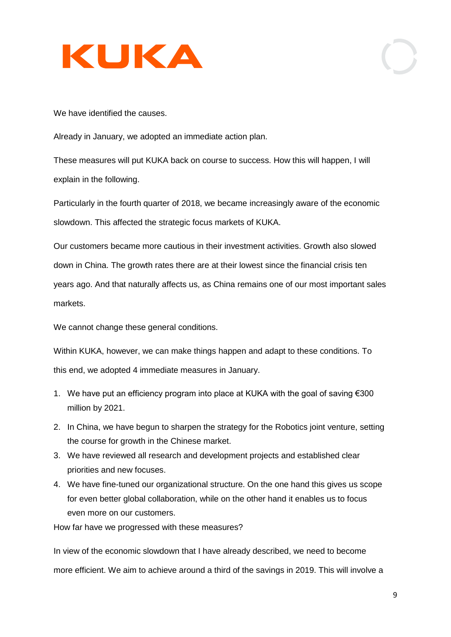

We have identified the causes.

Already in January, we adopted an immediate action plan.

These measures will put KUKA back on course to success. How this will happen, I will explain in the following.

Particularly in the fourth quarter of 2018, we became increasingly aware of the economic slowdown. This affected the strategic focus markets of KUKA.

Our customers became more cautious in their investment activities. Growth also slowed down in China. The growth rates there are at their lowest since the financial crisis ten years ago. And that naturally affects us, as China remains one of our most important sales markets.

We cannot change these general conditions.

Within KUKA, however, we can make things happen and adapt to these conditions. To this end, we adopted 4 immediate measures in January.

- 1. We have put an efficiency program into place at KUKA with the goal of saving €300 million by 2021.
- 2. In China, we have begun to sharpen the strategy for the Robotics joint venture, setting the course for growth in the Chinese market.
- 3. We have reviewed all research and development projects and established clear priorities and new focuses.
- 4. We have fine-tuned our organizational structure. On the one hand this gives us scope for even better global collaboration, while on the other hand it enables us to focus even more on our customers.

How far have we progressed with these measures?

In view of the economic slowdown that I have already described, we need to become more efficient. We aim to achieve around a third of the savings in 2019. This will involve a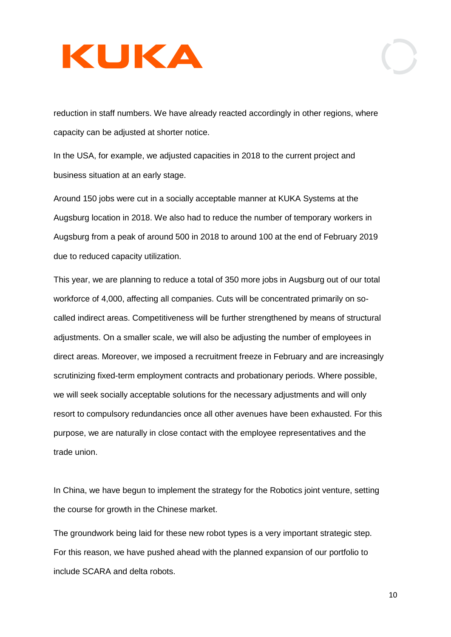reduction in staff numbers. We have already reacted accordingly in other regions, where capacity can be adjusted at shorter notice.

In the USA, for example, we adjusted capacities in 2018 to the current project and business situation at an early stage.

Around 150 jobs were cut in a socially acceptable manner at KUKA Systems at the Augsburg location in 2018. We also had to reduce the number of temporary workers in Augsburg from a peak of around 500 in 2018 to around 100 at the end of February 2019 due to reduced capacity utilization.

This year, we are planning to reduce a total of 350 more jobs in Augsburg out of our total workforce of 4,000, affecting all companies. Cuts will be concentrated primarily on socalled indirect areas. Competitiveness will be further strengthened by means of structural adjustments. On a smaller scale, we will also be adjusting the number of employees in direct areas. Moreover, we imposed a recruitment freeze in February and are increasingly scrutinizing fixed-term employment contracts and probationary periods. Where possible, we will seek socially acceptable solutions for the necessary adjustments and will only resort to compulsory redundancies once all other avenues have been exhausted. For this purpose, we are naturally in close contact with the employee representatives and the trade union.

In China, we have begun to implement the strategy for the Robotics joint venture, setting the course for growth in the Chinese market.

The groundwork being laid for these new robot types is a very important strategic step. For this reason, we have pushed ahead with the planned expansion of our portfolio to include SCARA and delta robots.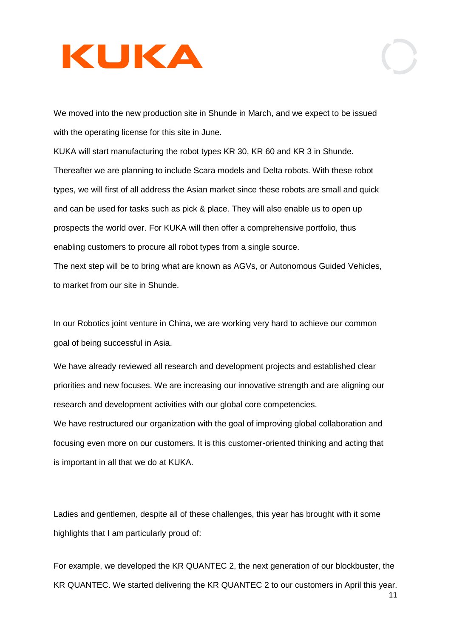We moved into the new production site in Shunde in March, and we expect to be issued with the operating license for this site in June.

KUKA will start manufacturing the robot types KR 30, KR 60 and KR 3 in Shunde. Thereafter we are planning to include Scara models and Delta robots. With these robot types, we will first of all address the Asian market since these robots are small and quick and can be used for tasks such as pick & place. They will also enable us to open up prospects the world over. For KUKA will then offer a comprehensive portfolio, thus enabling customers to procure all robot types from a single source. The next step will be to bring what are known as AGVs, or Autonomous Guided Vehicles, to market from our site in Shunde.

In our Robotics joint venture in China, we are working very hard to achieve our common goal of being successful in Asia.

We have already reviewed all research and development projects and established clear priorities and new focuses. We are increasing our innovative strength and are aligning our research and development activities with our global core competencies.

We have restructured our organization with the goal of improving global collaboration and focusing even more on our customers. It is this customer-oriented thinking and acting that is important in all that we do at KUKA.

Ladies and gentlemen, despite all of these challenges, this year has brought with it some highlights that I am particularly proud of:

For example, we developed the KR QUANTEC 2, the next generation of our blockbuster, the KR QUANTEC. We started delivering the KR QUANTEC 2 to our customers in April this year.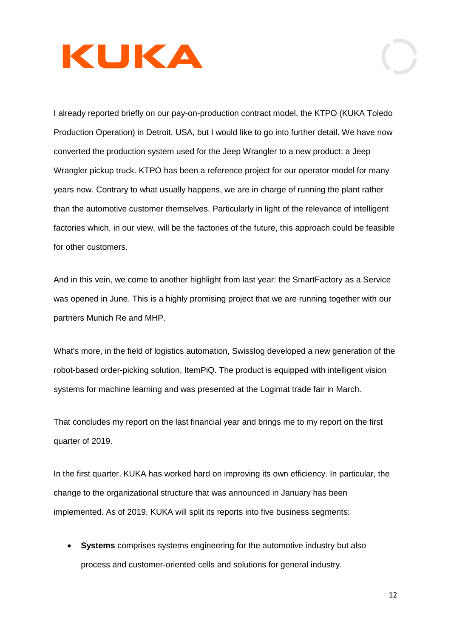I already reported briefly on our pay-on-production contract model, the KTPO (KUKA Toledo Production Operation) in Detroit, USA, but I would like to go into further detail. We have now converted the production system used for the Jeep Wrangler to a new product: a Jeep Wrangler pickup truck. KTPO has been a reference project for our operator model for many years now. Contrary to what usually happens, we are in charge of running the plant rather than the automotive customer themselves. Particularly in light of the relevance of intelligent factories which, in our view, will be the factories of the future, this approach could be feasible for other customers.

And in this vein, we come to another highlight from last year: the SmartFactory as a Service was opened in June. This is a highly promising project that we are running together with our partners Munich Re and MHP.

What's more, in the field of logistics automation, Swisslog developed a new generation of the robot-based order-picking solution, ItemPiQ. The product is equipped with intelligent vision systems for machine learning and was presented at the Logimat trade fair in March.

That concludes my report on the last financial year and brings me to my report on the first quarter of 2019.

In the first quarter, KUKA has worked hard on improving its own efficiency. In particular, the change to the organizational structure that was announced in January has been implemented. As of 2019, KUKA will split its reports into five business segments:

• **Systems** comprises systems engineering for the automotive industry but also process and customer-oriented cells and solutions for general industry.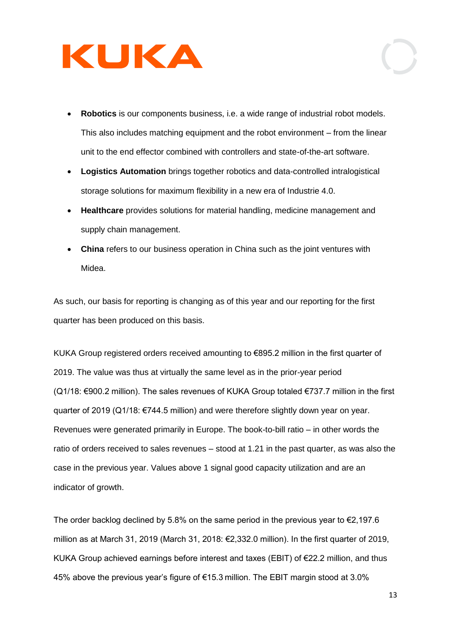- **Robotics** is our components business, i.e. a wide range of industrial robot models. This also includes matching equipment and the robot environment – from the linear unit to the end effector combined with controllers and state-of-the-art software.
- **Logistics Automation** brings together robotics and data-controlled intralogistical storage solutions for maximum flexibility in a new era of Industrie 4.0.
- **Healthcare** provides solutions for material handling, medicine management and supply chain management.
- **China** refers to our business operation in China such as the joint ventures with Midea.

As such, our basis for reporting is changing as of this year and our reporting for the first quarter has been produced on this basis.

KUKA Group registered orders received amounting to €895.2 million in the first quarter of 2019. The value was thus at virtually the same level as in the prior-year period (Q1/18: €900.2 million). The sales revenues of KUKA Group totaled €737.7 million in the first quarter of 2019 (Q1/18: €744.5 million) and were therefore slightly down year on year. Revenues were generated primarily in Europe. The book-to-bill ratio – in other words the ratio of orders received to sales revenues – stood at 1.21 in the past quarter, as was also the case in the previous year. Values above 1 signal good capacity utilization and are an indicator of growth.

The order backlog declined by 5.8% on the same period in the previous year to  $\epsilon$ 2,197.6 million as at March 31, 2019 (March 31, 2018: €2,332.0 million). In the first quarter of 2019, KUKA Group achieved earnings before interest and taxes (EBIT) of €22.2 million, and thus 45% above the previous year's figure of €15.3 million. The EBIT margin stood at 3.0%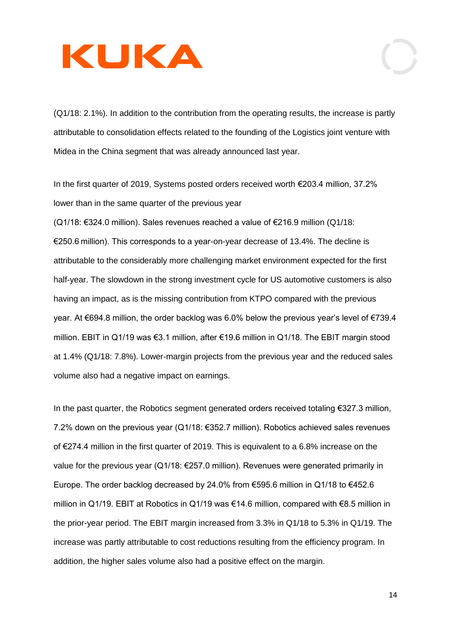(Q1/18: 2.1%). In addition to the contribution from the operating results, the increase is partly attributable to consolidation effects related to the founding of the Logistics joint venture with Midea in the China segment that was already announced last year.

In the first quarter of 2019, Systems posted orders received worth €203.4 million, 37.2% lower than in the same quarter of the previous year

(Q1/18: €324.0 million). Sales revenues reached a value of €216.9 million (Q1/18: €250.6 million). This corresponds to a year-on-year decrease of 13.4%. The decline is attributable to the considerably more challenging market environment expected for the first half-year. The slowdown in the strong investment cycle for US automotive customers is also having an impact, as is the missing contribution from KTPO compared with the previous year. At €694.8 million, the order backlog was 6.0% below the previous year's level of €739.4 million. EBIT in Q1/19 was €3.1 million, after €19.6 million in Q1/18. The EBIT margin stood at 1.4% (Q1/18: 7.8%). Lower-margin projects from the previous year and the reduced sales volume also had a negative impact on earnings.

In the past quarter, the Robotics segment generated orders received totaling €327.3 million, 7.2% down on the previous year (Q1/18: €352.7 million). Robotics achieved sales revenues of €274.4 million in the first quarter of 2019. This is equivalent to a 6.8% increase on the value for the previous year (Q1/18: €257.0 million). Revenues were generated primarily in Europe. The order backlog decreased by 24.0% from €595.6 million in Q1/18 to €452.6 million in Q1/19. EBIT at Robotics in Q1/19 was €14.6 million, compared with €8.5 million in the prior-year period. The EBIT margin increased from 3.3% in Q1/18 to 5.3% in Q1/19. The increase was partly attributable to cost reductions resulting from the efficiency program. In addition, the higher sales volume also had a positive effect on the margin.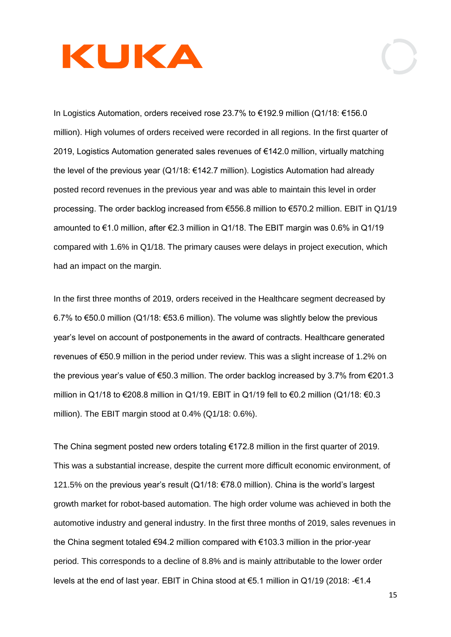In Logistics Automation, orders received rose 23.7% to €192.9 million (Q1/18: €156.0 million). High volumes of orders received were recorded in all regions. In the first quarter of 2019, Logistics Automation generated sales revenues of €142.0 million, virtually matching the level of the previous year (Q1/18: €142.7 million). Logistics Automation had already posted record revenues in the previous year and was able to maintain this level in order processing. The order backlog increased from €556.8 million to €570.2 million. EBIT in Q1/19 amounted to €1.0 million, after €2.3 million in Q1/18. The EBIT margin was 0.6% in Q1/19 compared with 1.6% in Q1/18. The primary causes were delays in project execution, which had an impact on the margin.

In the first three months of 2019, orders received in the Healthcare segment decreased by 6.7% to €50.0 million (Q1/18: €53.6 million). The volume was slightly below the previous year's level on account of postponements in the award of contracts. Healthcare generated revenues of €50.9 million in the period under review. This was a slight increase of 1.2% on the previous year's value of €50.3 million. The order backlog increased by 3.7% from €201.3 million in Q1/18 to €208.8 million in Q1/19. EBIT in Q1/19 fell to €0.2 million (Q1/18: €0.3 million). The EBIT margin stood at 0.4% (Q1/18: 0.6%).

The China segment posted new orders totaling €172.8 million in the first quarter of 2019. This was a substantial increase, despite the current more difficult economic environment, of 121.5% on the previous year's result (Q1/18: €78.0 million). China is the world's largest growth market for robot-based automation. The high order volume was achieved in both the automotive industry and general industry. In the first three months of 2019, sales revenues in the China segment totaled €94.2 million compared with €103.3 million in the prior-year period. This corresponds to a decline of 8.8% and is mainly attributable to the lower order levels at the end of last year. EBIT in China stood at €5.1 million in Q1/19 (2018: -€1.4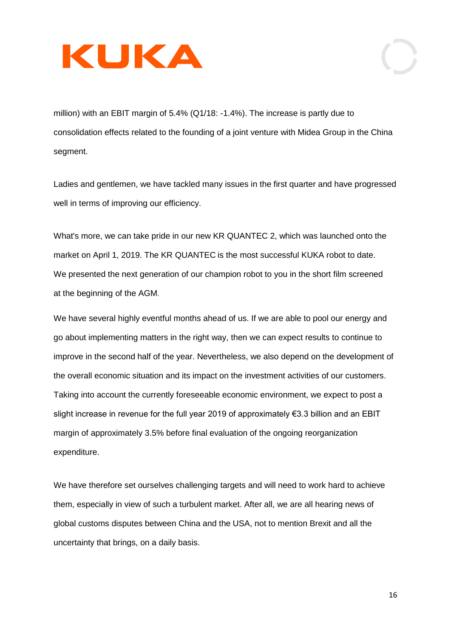million) with an EBIT margin of 5.4% (Q1/18: -1.4%). The increase is partly due to consolidation effects related to the founding of a joint venture with Midea Group in the China segment.

Ladies and gentlemen, we have tackled many issues in the first quarter and have progressed well in terms of improving our efficiency.

What's more, we can take pride in our new KR QUANTEC 2, which was launched onto the market on April 1, 2019. The KR QUANTEC is the most successful KUKA robot to date. We presented the next generation of our champion robot to you in the short film screened at the beginning of the AGM.

We have several highly eventful months ahead of us. If we are able to pool our energy and go about implementing matters in the right way, then we can expect results to continue to improve in the second half of the year. Nevertheless, we also depend on the development of the overall economic situation and its impact on the investment activities of our customers. Taking into account the currently foreseeable economic environment, we expect to post a slight increase in revenue for the full year 2019 of approximately €3.3 billion and an EBIT margin of approximately 3.5% before final evaluation of the ongoing reorganization expenditure.

We have therefore set ourselves challenging targets and will need to work hard to achieve them, especially in view of such a turbulent market. After all, we are all hearing news of global customs disputes between China and the USA, not to mention Brexit and all the uncertainty that brings, on a daily basis.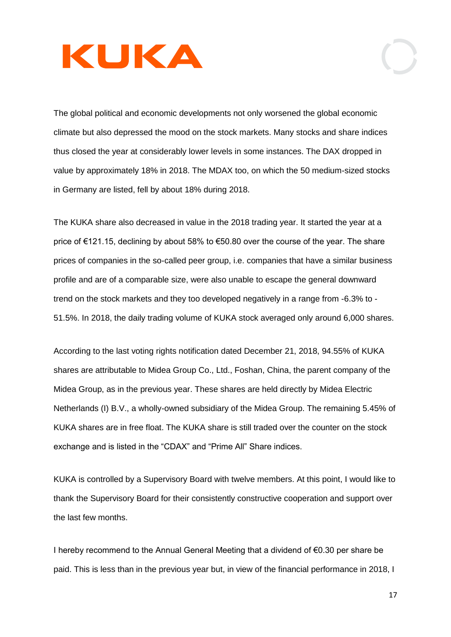The global political and economic developments not only worsened the global economic climate but also depressed the mood on the stock markets. Many stocks and share indices thus closed the year at considerably lower levels in some instances. The DAX dropped in value by approximately 18% in 2018. The MDAX too, on which the 50 medium-sized stocks in Germany are listed, fell by about 18% during 2018.

The KUKA share also decreased in value in the 2018 trading year. It started the year at a price of €121.15, declining by about 58% to €50.80 over the course of the year. The share prices of companies in the so-called peer group, i.e. companies that have a similar business profile and are of a comparable size, were also unable to escape the general downward trend on the stock markets and they too developed negatively in a range from -6.3% to - 51.5%. In 2018, the daily trading volume of KUKA stock averaged only around 6,000 shares.

According to the last voting rights notification dated December 21, 2018, 94.55% of KUKA shares are attributable to Midea Group Co., Ltd., Foshan, China, the parent company of the Midea Group, as in the previous year. These shares are held directly by Midea Electric Netherlands (I) B.V., a wholly-owned subsidiary of the Midea Group. The remaining 5.45% of KUKA shares are in free float. The KUKA share is still traded over the counter on the stock exchange and is listed in the "CDAX" and "Prime All" Share indices.

KUKA is controlled by a Supervisory Board with twelve members. At this point, I would like to thank the Supervisory Board for their consistently constructive cooperation and support over the last few months.

I hereby recommend to the Annual General Meeting that a dividend of €0.30 per share be paid. This is less than in the previous year but, in view of the financial performance in 2018, I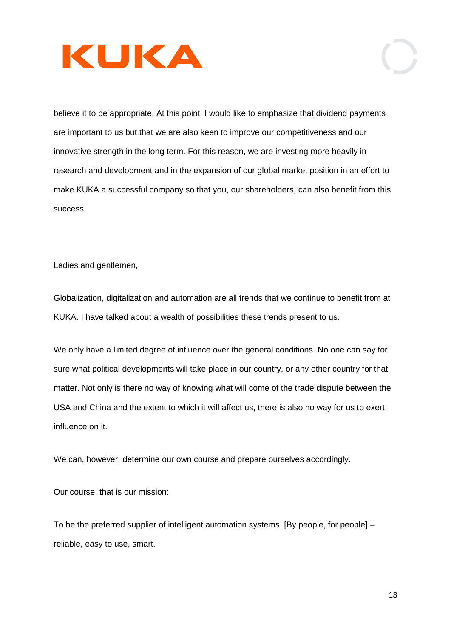

believe it to be appropriate. At this point, I would like to emphasize that dividend payments are important to us but that we are also keen to improve our competitiveness and our innovative strength in the long term. For this reason, we are investing more heavily in research and development and in the expansion of our global market position in an effort to make KUKA a successful company so that you, our shareholders, can also benefit from this success.

Ladies and gentlemen,

Globalization, digitalization and automation are all trends that we continue to benefit from at KUKA. I have talked about a wealth of possibilities these trends present to us.

We only have a limited degree of influence over the general conditions. No one can say for sure what political developments will take place in our country, or any other country for that matter. Not only is there no way of knowing what will come of the trade dispute between the USA and China and the extent to which it will affect us, there is also no way for us to exert influence on it.

We can, however, determine our own course and prepare ourselves accordingly.

Our course, that is our mission:

To be the preferred supplier of intelligent automation systems. [By people, for people] – reliable, easy to use, smart.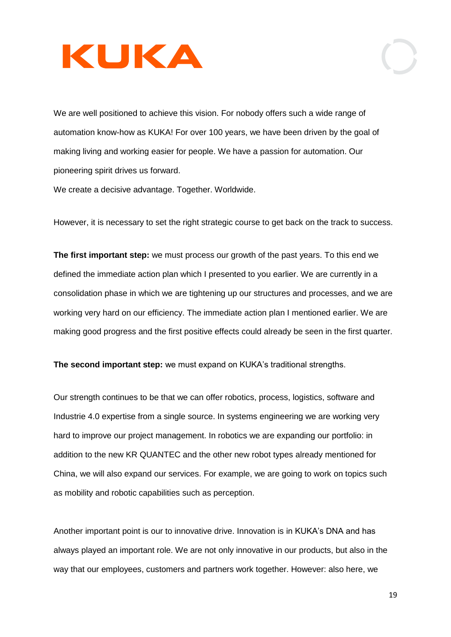We are well positioned to achieve this vision. For nobody offers such a wide range of automation know-how as KUKA! For over 100 years, we have been driven by the goal of making living and working easier for people. We have a passion for automation. Our pioneering spirit drives us forward.

We create a decisive advantage. Together. Worldwide.

However, it is necessary to set the right strategic course to get back on the track to success.

**The first important step:** we must process our growth of the past years. To this end we defined the immediate action plan which I presented to you earlier. We are currently in a consolidation phase in which we are tightening up our structures and processes, and we are working very hard on our efficiency. The immediate action plan I mentioned earlier. We are making good progress and the first positive effects could already be seen in the first quarter.

**The second important step:** we must expand on KUKA's traditional strengths.

Our strength continues to be that we can offer robotics, process, logistics, software and Industrie 4.0 expertise from a single source. In systems engineering we are working very hard to improve our project management. In robotics we are expanding our portfolio: in addition to the new KR QUANTEC and the other new robot types already mentioned for China, we will also expand our services. For example, we are going to work on topics such as mobility and robotic capabilities such as perception.

Another important point is our to innovative drive. Innovation is in KUKA's DNA and has always played an important role. We are not only innovative in our products, but also in the way that our employees, customers and partners work together. However: also here, we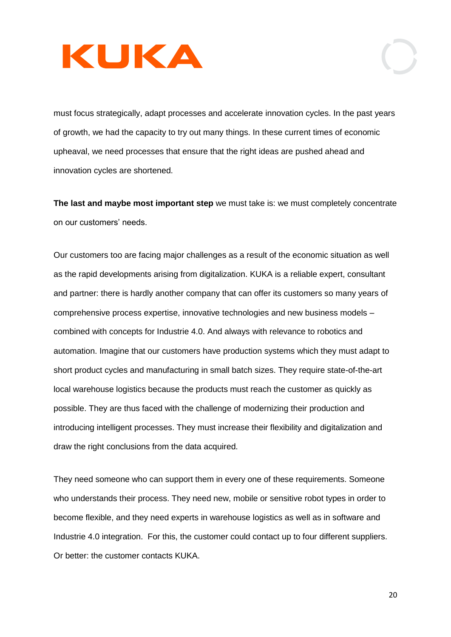must focus strategically, adapt processes and accelerate innovation cycles. In the past years of growth, we had the capacity to try out many things. In these current times of economic upheaval, we need processes that ensure that the right ideas are pushed ahead and innovation cycles are shortened.

**The last and maybe most important step** we must take is: we must completely concentrate on our customers' needs.

Our customers too are facing major challenges as a result of the economic situation as well as the rapid developments arising from digitalization. KUKA is a reliable expert, consultant and partner: there is hardly another company that can offer its customers so many years of comprehensive process expertise, innovative technologies and new business models – combined with concepts for Industrie 4.0. And always with relevance to robotics and automation. Imagine that our customers have production systems which they must adapt to short product cycles and manufacturing in small batch sizes. They require state-of-the-art local warehouse logistics because the products must reach the customer as quickly as possible. They are thus faced with the challenge of modernizing their production and introducing intelligent processes. They must increase their flexibility and digitalization and draw the right conclusions from the data acquired.

They need someone who can support them in every one of these requirements. Someone who understands their process. They need new, mobile or sensitive robot types in order to become flexible, and they need experts in warehouse logistics as well as in software and Industrie 4.0 integration. For this, the customer could contact up to four different suppliers. Or better: the customer contacts KUKA.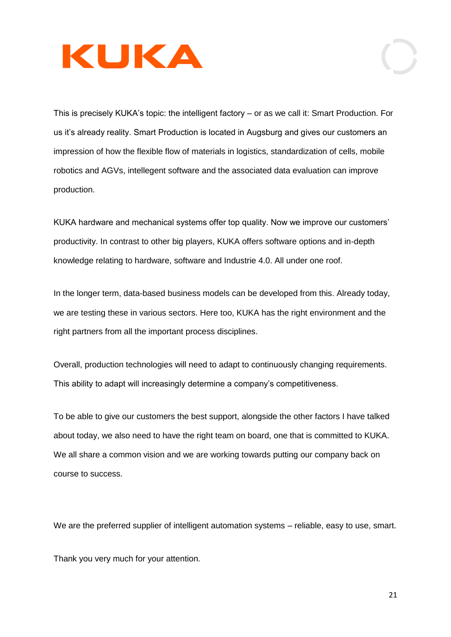This is precisely KUKA's topic: the intelligent factory – or as we call it: Smart Production. For us it's already reality. Smart Production is located in Augsburg and gives our customers an impression of how the flexible flow of materials in logistics, standardization of cells, mobile robotics and AGVs, intellegent software and the associated data evaluation can improve production.

KUKA hardware and mechanical systems offer top quality. Now we improve our customers' productivity. In contrast to other big players, KUKA offers software options and in-depth knowledge relating to hardware, software and Industrie 4.0. All under one roof.

In the longer term, data-based business models can be developed from this. Already today, we are testing these in various sectors. Here too, KUKA has the right environment and the right partners from all the important process disciplines.

Overall, production technologies will need to adapt to continuously changing requirements. This ability to adapt will increasingly determine a company's competitiveness.

To be able to give our customers the best support, alongside the other factors I have talked about today, we also need to have the right team on board, one that is committed to KUKA. We all share a common vision and we are working towards putting our company back on course to success.

We are the preferred supplier of intelligent automation systems – reliable, easy to use, smart.

Thank you very much for your attention.